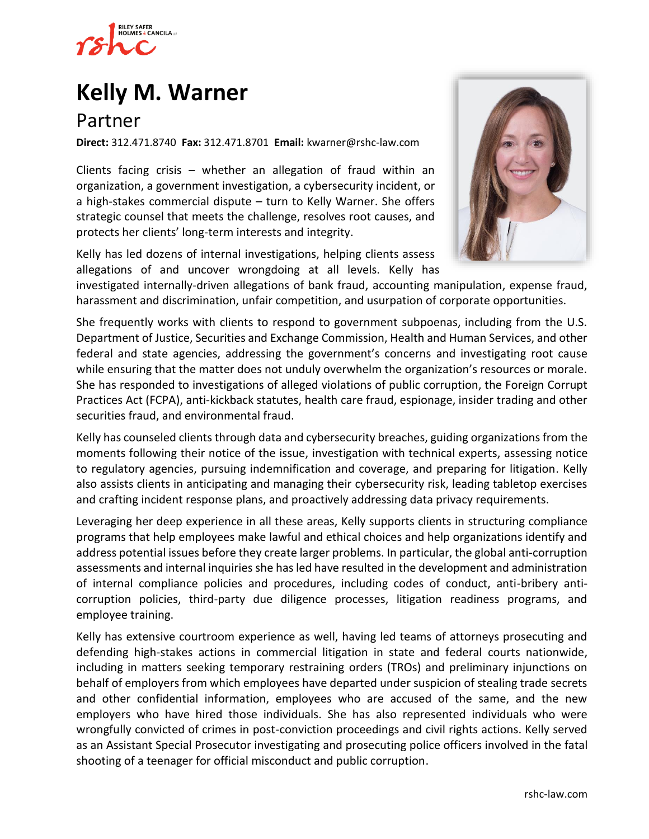

# **[Kelly M. Warner](https://www.rshc-law.com/attorneys/attorney/kelly-warner)**

# Partner

**Direct:** 312.471.8740 **Fax:** 312.471.8701 **Email:** kwarner@rshc-law.com

Clients facing crisis – whether an allegation of fraud within an organization, a government investigation, a cybersecurity incident, or a high-stakes commercial dispute – turn to Kelly Warner. She offers strategic counsel that meets the challenge, resolves root causes, and protects her clients' long-term interests and integrity.

Kelly has led dozens of internal investigations, helping clients assess allegations of and uncover wrongdoing at all levels. Kelly has



investigated internally-driven allegations of bank fraud, accounting manipulation, expense fraud, harassment and discrimination, unfair competition, and usurpation of corporate opportunities.

She frequently works with clients to respond to government subpoenas, including from the U.S. Department of Justice, Securities and Exchange Commission, Health and Human Services, and other federal and state agencies, addressing the government's concerns and investigating root cause while ensuring that the matter does not unduly overwhelm the organization's resources or morale. She has responded to investigations of alleged violations of public corruption, the Foreign Corrupt Practices Act (FCPA), anti-kickback statutes, health care fraud, espionage, insider trading and other securities fraud, and environmental fraud.

Kelly has counseled clients through data and cybersecurity breaches, guiding organizations from the moments following their notice of the issue, investigation with technical experts, assessing notice to regulatory agencies, pursuing indemnification and coverage, and preparing for litigation. Kelly also assists clients in anticipating and managing their cybersecurity risk, leading tabletop exercises and crafting incident response plans, and proactively addressing data privacy requirements.

Leveraging her deep experience in all these areas, Kelly supports clients in structuring compliance programs that help employees make lawful and ethical choices and help organizations identify and address potential issues before they create larger problems. In particular, the global anti-corruption assessments and internal inquiries she has led have resulted in the development and administration of internal compliance policies and procedures, including codes of conduct, anti-bribery anticorruption policies, third-party due diligence processes, litigation readiness programs, and employee training.

Kelly has extensive courtroom experience as well, having led teams of attorneys prosecuting and defending high-stakes actions in commercial litigation in state and federal courts nationwide, including in matters seeking temporary restraining orders (TROs) and preliminary injunctions on behalf of employers from which employees have departed under suspicion of stealing trade secrets and other confidential information, employees who are accused of the same, and the new employers who have hired those individuals. She has also represented individuals who were wrongfully convicted of crimes in post-conviction proceedings and civil rights actions. Kelly served as an Assistant Special Prosecutor investigating and prosecuting police officers involved in the fatal shooting of a teenager for official misconduct and public corruption.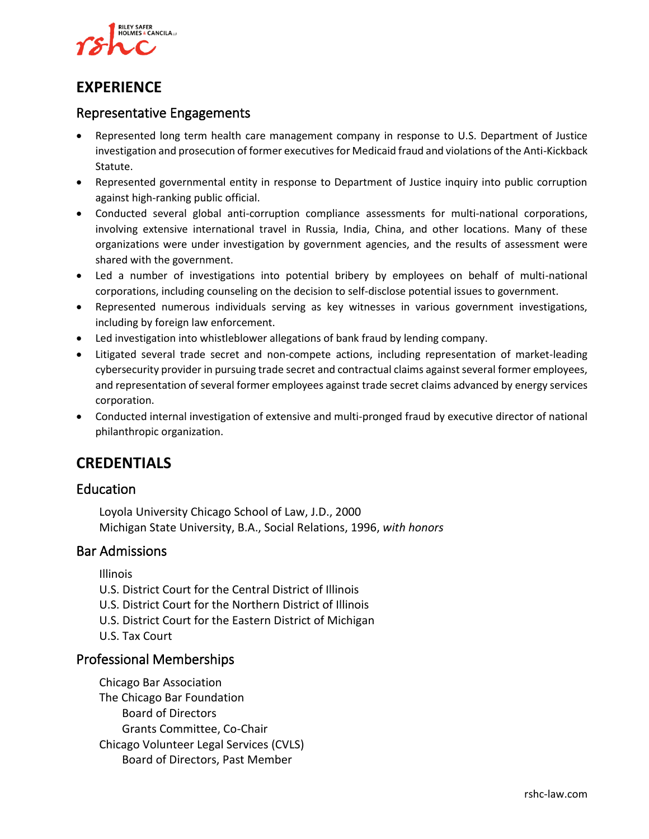

## **EXPERIENCE**

#### Representative Engagements

- Represented long term health care management company in response to U.S. Department of Justice investigation and prosecution of former executives for Medicaid fraud and violations of the Anti-Kickback Statute.
- Represented governmental entity in response to Department of Justice inquiry into public corruption against high-ranking public official.
- Conducted several global anti-corruption compliance assessments for multi-national corporations, involving extensive international travel in Russia, India, China, and other locations. Many of these organizations were under investigation by government agencies, and the results of assessment were shared with the government.
- Led a number of investigations into potential bribery by employees on behalf of multi-national corporations, including counseling on the decision to self-disclose potential issues to government.
- Represented numerous individuals serving as key witnesses in various government investigations, including by foreign law enforcement.
- Led investigation into whistleblower allegations of bank fraud by lending company.
- Litigated several trade secret and non-compete actions, including representation of market-leading cybersecurity provider in pursuing trade secret and contractual claims against several former employees, and representation of several former employees against trade secret claims advanced by energy services corporation.
- Conducted internal investigation of extensive and multi-pronged fraud by executive director of national philanthropic organization.

## **CREDENTIALS**

#### Education

Loyola University Chicago School of Law, J.D., 2000 Michigan State University, B.A., Social Relations, 1996, *with honors*

#### Bar Admissions

Illinois

- U.S. District Court for the Central District of Illinois
- U.S. District Court for the Northern District of Illinois
- U.S. District Court for the Eastern District of Michigan
- U.S. Tax Court

#### Professional Memberships

Chicago Bar Association The Chicago Bar Foundation Board of Directors Grants Committee, Co-Chair Chicago Volunteer Legal Services (CVLS) Board of Directors, Past Member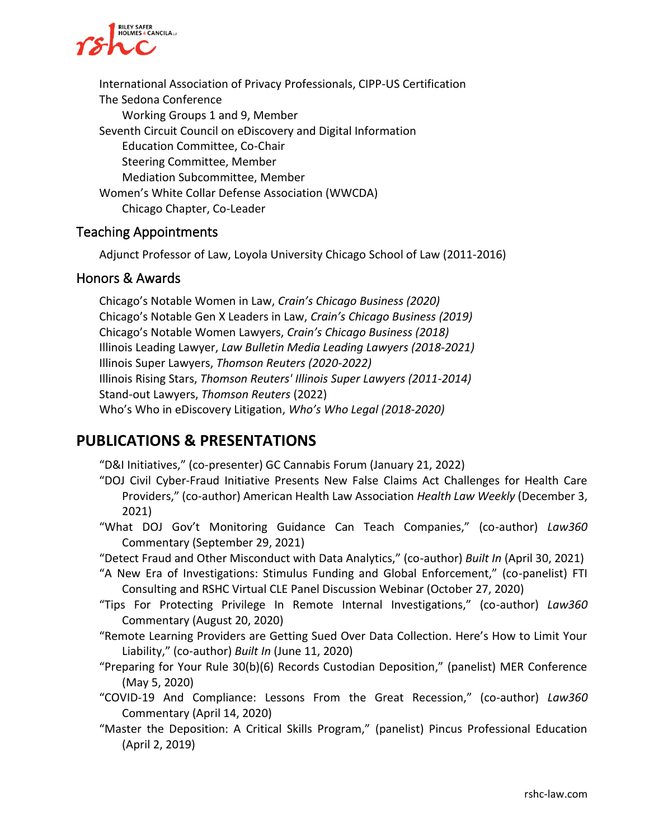

International Association of Privacy Professionals, CIPP-US Certification The Sedona Conference Working Groups 1 and 9, Member Seventh Circuit Council on eDiscovery and Digital Information Education Committee, Co-Chair Steering Committee, Member Mediation Subcommittee, Member Women's White Collar Defense Association (WWCDA) Chicago Chapter, Co-Leader

#### Teaching Appointments

Adjunct Professor of Law, Loyola University Chicago School of Law (2011-2016)

#### Honors & Awards

Chicago's Notable Women in Law, *Crain's Chicago Business (2020)* Chicago's Notable Gen X Leaders in Law, *Crain's Chicago Business (2019)* Chicago's Notable Women Lawyers, *Crain's Chicago Business (2018)* Illinois Leading Lawyer, *Law Bulletin Media Leading Lawyers (2018-2021)* Illinois Super Lawyers, *Thomson Reuters (2020-2022)* Illinois Rising Stars, *Thomson Reuters' Illinois Super Lawyers (2011-2014)* Stand-out Lawyers, *Thomson Reuters* (2022) Who's Who in eDiscovery Litigation, *Who's Who Legal (2018-2020)*

## **PUBLICATIONS & PRESENTATIONS**

"D&I Initiatives," (co-presenter) GC Cannabis Forum (January 21, 2022)

- "DOJ Civil Cyber-Fraud Initiative Presents New False Claims Act Challenges for Health Care Providers," (co-author) American Health Law Association *Health Law Weekly* (December 3, 2021)
- "What DOJ Gov't Monitoring Guidance Can Teach Companies," (co-author) *Law360*  Commentary (September 29, 2021)
- "Detect Fraud and Other Misconduct with Data Analytics," (co-author) *Built In* (April 30, 2021)
- "A New Era of Investigations: Stimulus Funding and Global Enforcement," (co-panelist) FTI Consulting and RSHC Virtual CLE Panel Discussion Webinar (October 27, 2020)
- "Tips For Protecting Privilege In Remote Internal Investigations," (co-author) *Law360*  Commentary (August 20, 2020)
- "Remote Learning Providers are Getting Sued Over Data Collection. Here's How to Limit Your Liability," (co-author) *Built In* (June 11, 2020)
- "Preparing for Your Rule 30(b)(6) Records Custodian Deposition," (panelist) MER Conference (May 5, 2020)
- "COVID-19 And Compliance: Lessons From the Great Recession," (co-author) *Law360* Commentary (April 14, 2020)
- "Master the Deposition: A Critical Skills Program," (panelist) Pincus Professional Education (April 2, 2019)